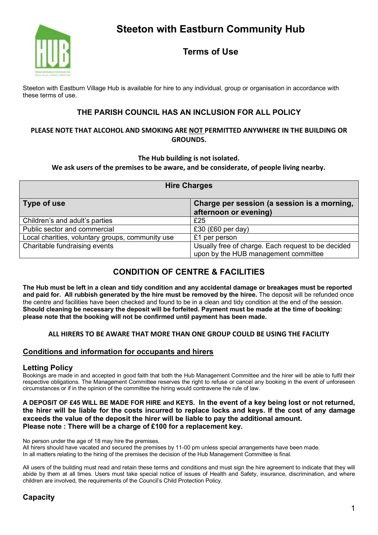

# **Terms of Use**

Steeton with Eastburn Village Hub is available for hire to any individual, group or organisation in accordance with these terms of use.

## **THE PARISH COUNCIL HAS AN INCLUSION FOR ALL POLICY**

### **PLEASE NOTE THAT ALCOHOL AND SMOKING ARE NOT PERMITTED ANYWHERE IN THE BUILDING OR GROUNDS.**

### **The Hub building is not isolated.**

**We ask users of the premises to be aware, and be considerate, of people living nearby.**

| <b>Hire Charges</b>                              |                                                                                            |
|--------------------------------------------------|--------------------------------------------------------------------------------------------|
| Type of use                                      | Charge per session (a session is a morning,<br>afternoon or evening)                       |
| Children's and adult's parties                   | £25                                                                                        |
| Public sector and commercial                     | £30 (£60 per day)                                                                          |
| Local charities, voluntary groups, community use | £1 per person                                                                              |
| Charitable fundraising events                    | Usually free of charge. Each request to be decided<br>upon by the HUB management committee |

# **CONDITION OF CENTRE & FACILITIES**

**The Hub must be left in a clean and tidy condition and any accidental damage or breakages must be reported and paid for. All rubbish generated by the hire must be removed by the hiree.** The deposit will be refunded once the centre and facilities have been checked and found to be in a clean and tidy condition at the end of the session. **Should cleaning be necessary the deposit will be forfeited. Payment must be made at the time of booking: please note that the booking will not be confirmed until payment has been made.**

## **ALL HIRERS TO BE AWARE THAT MORE THAN ONE GROUP COULD BE USING THE FACILITY**

## **Conditions and information for occupants and hirers**

## **Letting Policy**

Bookings are made in and accepted in good faith that both the Hub Management Committee and the hirer will be able to fulfil their respective obligations. The Management Committee reserves the right to refuse or cancel any booking in the event of unforeseen circumstances or if in the opinion of the committee the hiring would contravene the rule of law.

#### **A DEPOSIT OF £45 WILL BE MADE FOR HIRE and KEYS. In the event of a key being lost or not returned, the hirer will be liable for the costs incurred to replace locks and keys. If the cost of any damage exceeds the value of the deposit the hirer will be liable to pay the additional amount. Please note : There will be a charge of £100 for a replacement key.**

No person under the age of 18 may hire the premises.

All hirers should have vacated and secured the premises by 11-00 pm unless special arrangements have been made. In all matters relating to the hiring of the premises the decision of the Hub Management Committee is final.

All users of the building must read and retain these terms and conditions and must sign the hire agreement to indicate that they will abide by them at all times. Users must take special notice of issues of Health and Safety, insurance, discrimination, and where children are involved, the requirements of the Council's Child Protection Policy.

## **Capacity**